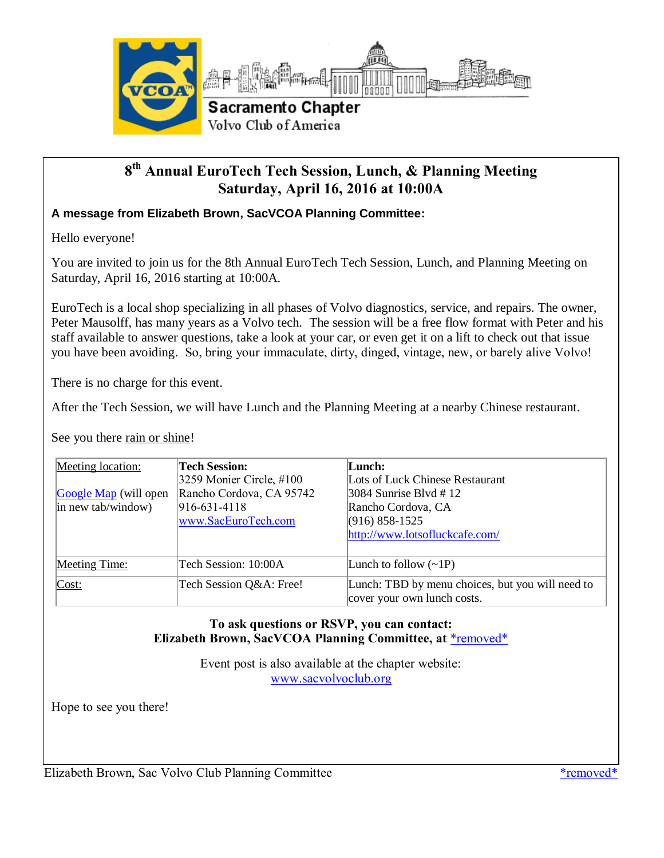

### **8 th Annual EuroTech Tech Session, Lunch, & Planning Meeting Saturday, April 16, 2016 at 10:00A**

### **A message from Elizabeth Brown, SacVCOA Planning Committee:**

Hello everyone!

You are invited to join us for the 8th Annual EuroTech Tech Session, Lunch, and Planning Meeting on Saturday, April 16, 2016 starting at 10:00A.

EuroTech is a local shop specializing in all phases of Volvo diagnostics, service, and repairs. The owner, Peter Mausolff, has many years as a Volvo tech. The session will be a free flow format with Peter and his staff available to answer questions, take a look at your car, or even get it on a lift to check out that issue you have been avoiding. So, bring your immaculate, dirty, dinged, vintage, new, or barely alive Volvo!

There is no charge for this event.

After the Tech Session, we will have Lunch and the Planning Meeting at a nearby Chinese restaurant.

See you there rain or shine!

| Meeting location:     | <b>Tech Session:</b>                 | Lunch:                                           |
|-----------------------|--------------------------------------|--------------------------------------------------|
|                       | $ 3259 \text{ Monier Circle}, \#100$ | Lots of Luck Chinese Restaurant                  |
| Google Map (will open | Rancho Cordova, CA 95742             | $3084$ Sunrise Blvd # 12                         |
| in new tab/window)    | $ 916-631-4118$                      | Rancho Cordova, CA                               |
|                       | www.SacEuroTech.com                  | $(916) 858 - 1525$                               |
|                       |                                      | http://www.lotsofluckcafe.com/                   |
|                       |                                      |                                                  |
| Meeting Time:         | Tech Session: 10:00A                 | Lunch to follow $(\sim 1P)$                      |
| Cost:                 | Tech Session Q&A: Free!              | Lunch: TBD by menu choices, but you will need to |
|                       |                                      | cover your own lunch costs.                      |

#### **To ask questions or RSVP, you can contact: Elizabeth Brown, SacVCOA Planning Committee, at** [\\*removed\\*](mailto:webmaster@sacvolvoclub.org)

Event post is also available at the chapter website: [www.sacvolvoclub.org](http://www.sacvolvoclub.org/)

Hope to see you there!

Elizabeth Brown, Sac Volvo Club Planning Committee [\\*removed\\*](mailto:webmaster@sacvolvoclub.org)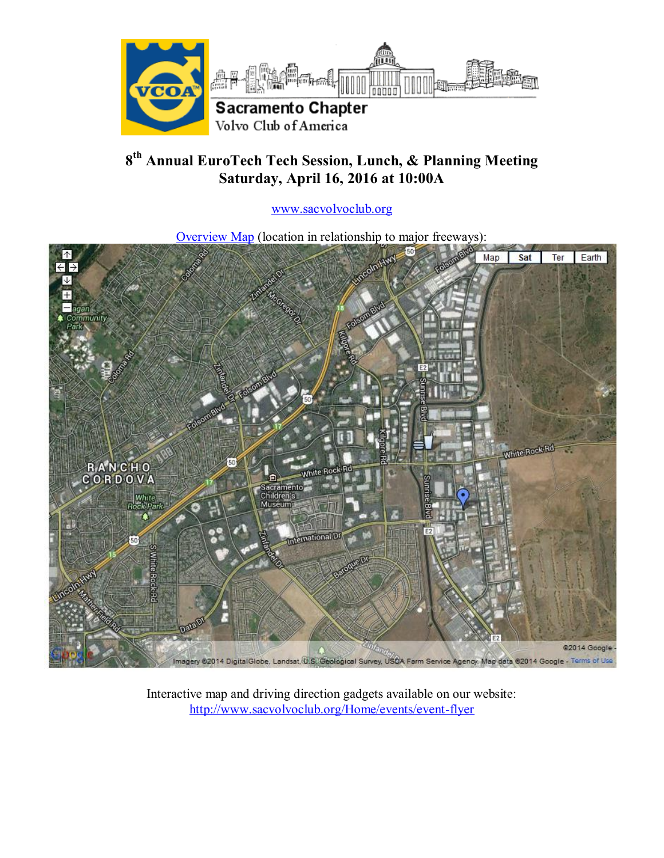

# **8 th Annual EuroTech Tech Session, Lunch, & Planning Meeting Saturday, April 16, 2016 at 10:00A**

[www.sacvolvoclub.org](http://www.sacvolvoclub.org/)

[Overview Map](https://maps.google.com/maps/ms?msid=215264337018101684740.00047fc15f3d09b7a96e9&msa=0&ie=UTF8&t=h&ll=38.590778,-121.276703&spn=0.040252,0.06875&z=14) (location in relationship to major freeways):



Interactive map and driving direction gadgets available on our website: <http://www.sacvolvoclub.org/Home/events/event-flyer>